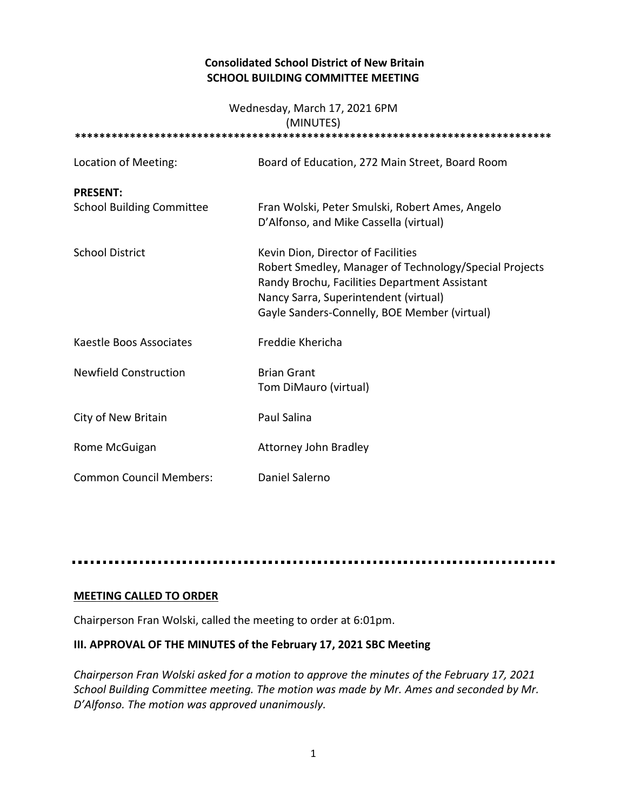## **Consolidated School District of New Britain SCHOOL BUILDING COMMITTEE MEETING**

#### Wednesday, March 17, 2021 6PM (MINUTES)

| (IVIIIVU LEJ)                                       |                                                                                                                                                                                                                                        |
|-----------------------------------------------------|----------------------------------------------------------------------------------------------------------------------------------------------------------------------------------------------------------------------------------------|
| Location of Meeting:                                | Board of Education, 272 Main Street, Board Room                                                                                                                                                                                        |
| <b>PRESENT:</b><br><b>School Building Committee</b> | Fran Wolski, Peter Smulski, Robert Ames, Angelo<br>D'Alfonso, and Mike Cassella (virtual)                                                                                                                                              |
| <b>School District</b>                              | Kevin Dion, Director of Facilities<br>Robert Smedley, Manager of Technology/Special Projects<br>Randy Brochu, Facilities Department Assistant<br>Nancy Sarra, Superintendent (virtual)<br>Gayle Sanders-Connelly, BOE Member (virtual) |
| Kaestle Boos Associates                             | Freddie Khericha                                                                                                                                                                                                                       |
| <b>Newfield Construction</b>                        | <b>Brian Grant</b><br>Tom DiMauro (virtual)                                                                                                                                                                                            |
| City of New Britain                                 | Paul Salina                                                                                                                                                                                                                            |
| Rome McGuigan                                       | Attorney John Bradley                                                                                                                                                                                                                  |
| <b>Common Council Members:</b>                      | Daniel Salerno                                                                                                                                                                                                                         |

## **MEETING CALLED TO ORDER**

Chairperson Fran Wolski, called the meeting to order at 6:01pm.

# **III. APPROVAL OF THE MINUTES of the February 17, 2021 SBC Meeting**

*Chairperson Fran Wolski asked for a motion to approve the minutes of the February 17, 2021 School Building Committee meeting. The motion was made by Mr. Ames and seconded by Mr. D'Alfonso. The motion was approved unanimously.*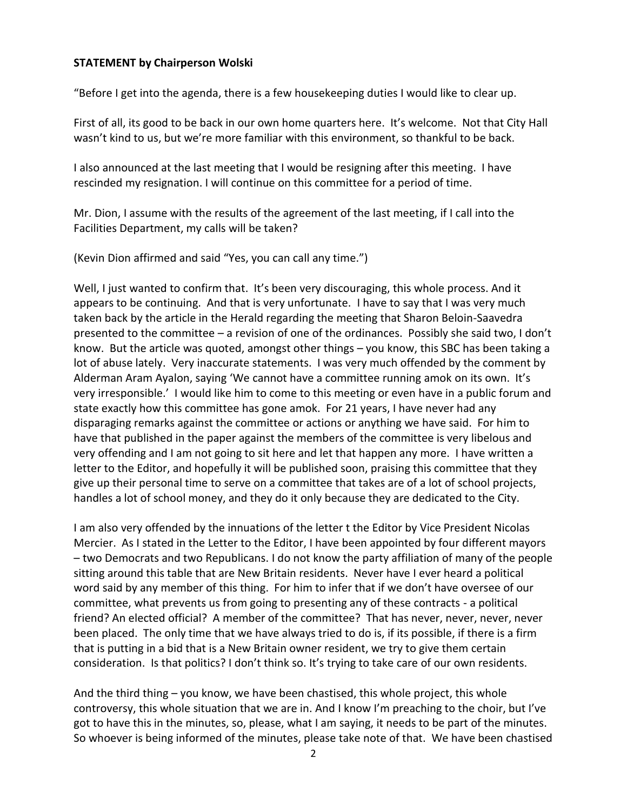## **STATEMENT by Chairperson Wolski**

"Before I get into the agenda, there is a few housekeeping duties I would like to clear up.

First of all, its good to be back in our own home quarters here. It's welcome. Not that City Hall wasn't kind to us, but we're more familiar with this environment, so thankful to be back.

I also announced at the last meeting that I would be resigning after this meeting. I have rescinded my resignation. I will continue on this committee for a period of time.

Mr. Dion, I assume with the results of the agreement of the last meeting, if I call into the Facilities Department, my calls will be taken?

(Kevin Dion affirmed and said "Yes, you can call any time.")

Well, I just wanted to confirm that. It's been very discouraging, this whole process. And it appears to be continuing. And that is very unfortunate. I have to say that I was very much taken back by the article in the Herald regarding the meeting that Sharon Beloin-Saavedra presented to the committee – a revision of one of the ordinances. Possibly she said two, I don't know. But the article was quoted, amongst other things – you know, this SBC has been taking a lot of abuse lately. Very inaccurate statements. I was very much offended by the comment by Alderman Aram Ayalon, saying 'We cannot have a committee running amok on its own. It's very irresponsible.' I would like him to come to this meeting or even have in a public forum and state exactly how this committee has gone amok. For 21 years, I have never had any disparaging remarks against the committee or actions or anything we have said. For him to have that published in the paper against the members of the committee is very libelous and very offending and I am not going to sit here and let that happen any more. I have written a letter to the Editor, and hopefully it will be published soon, praising this committee that they give up their personal time to serve on a committee that takes are of a lot of school projects, handles a lot of school money, and they do it only because they are dedicated to the City.

I am also very offended by the innuations of the letter t the Editor by Vice President Nicolas Mercier. As I stated in the Letter to the Editor, I have been appointed by four different mayors – two Democrats and two Republicans. I do not know the party affiliation of many of the people sitting around this table that are New Britain residents. Never have I ever heard a political word said by any member of this thing. For him to infer that if we don't have oversee of our committee, what prevents us from going to presenting any of these contracts - a political friend? An elected official? A member of the committee? That has never, never, never, never been placed. The only time that we have always tried to do is, if its possible, if there is a firm that is putting in a bid that is a New Britain owner resident, we try to give them certain consideration. Is that politics? I don't think so. It's trying to take care of our own residents.

And the third thing – you know, we have been chastised, this whole project, this whole controversy, this whole situation that we are in. And I know I'm preaching to the choir, but I've got to have this in the minutes, so, please, what I am saying, it needs to be part of the minutes. So whoever is being informed of the minutes, please take note of that. We have been chastised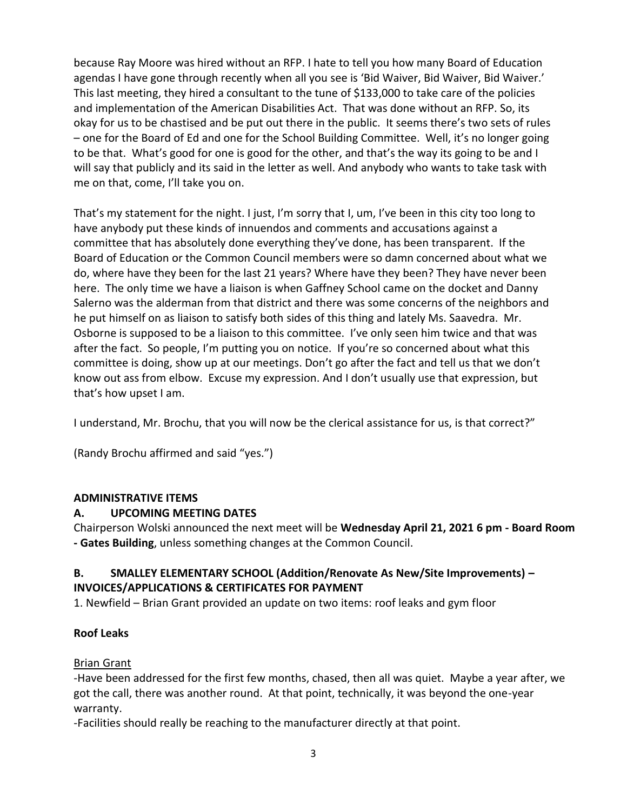because Ray Moore was hired without an RFP. I hate to tell you how many Board of Education agendas I have gone through recently when all you see is 'Bid Waiver, Bid Waiver, Bid Waiver.' This last meeting, they hired a consultant to the tune of \$133,000 to take care of the policies and implementation of the American Disabilities Act. That was done without an RFP. So, its okay for us to be chastised and be put out there in the public. It seems there's two sets of rules – one for the Board of Ed and one for the School Building Committee. Well, it's no longer going to be that. What's good for one is good for the other, and that's the way its going to be and I will say that publicly and its said in the letter as well. And anybody who wants to take task with me on that, come, I'll take you on.

That's my statement for the night. I just, I'm sorry that I, um, I've been in this city too long to have anybody put these kinds of innuendos and comments and accusations against a committee that has absolutely done everything they've done, has been transparent. If the Board of Education or the Common Council members were so damn concerned about what we do, where have they been for the last 21 years? Where have they been? They have never been here. The only time we have a liaison is when Gaffney School came on the docket and Danny Salerno was the alderman from that district and there was some concerns of the neighbors and he put himself on as liaison to satisfy both sides of this thing and lately Ms. Saavedra. Mr. Osborne is supposed to be a liaison to this committee. I've only seen him twice and that was after the fact. So people, I'm putting you on notice. If you're so concerned about what this committee is doing, show up at our meetings. Don't go after the fact and tell us that we don't know out ass from elbow. Excuse my expression. And I don't usually use that expression, but that's how upset I am.

I understand, Mr. Brochu, that you will now be the clerical assistance for us, is that correct?"

(Randy Brochu affirmed and said "yes.")

# **ADMINISTRATIVE ITEMS**

# **A. UPCOMING MEETING DATES**

Chairperson Wolski announced the next meet will be **Wednesday April 21, 2021 6 pm - Board Room - Gates Building**, unless something changes at the Common Council.

# **B. SMALLEY ELEMENTARY SCHOOL (Addition/Renovate As New/Site Improvements) – INVOICES/APPLICATIONS & CERTIFICATES FOR PAYMENT**

1. Newfield – Brian Grant provided an update on two items: roof leaks and gym floor

# **Roof Leaks**

# Brian Grant

-Have been addressed for the first few months, chased, then all was quiet. Maybe a year after, we got the call, there was another round. At that point, technically, it was beyond the one-year warranty.

-Facilities should really be reaching to the manufacturer directly at that point.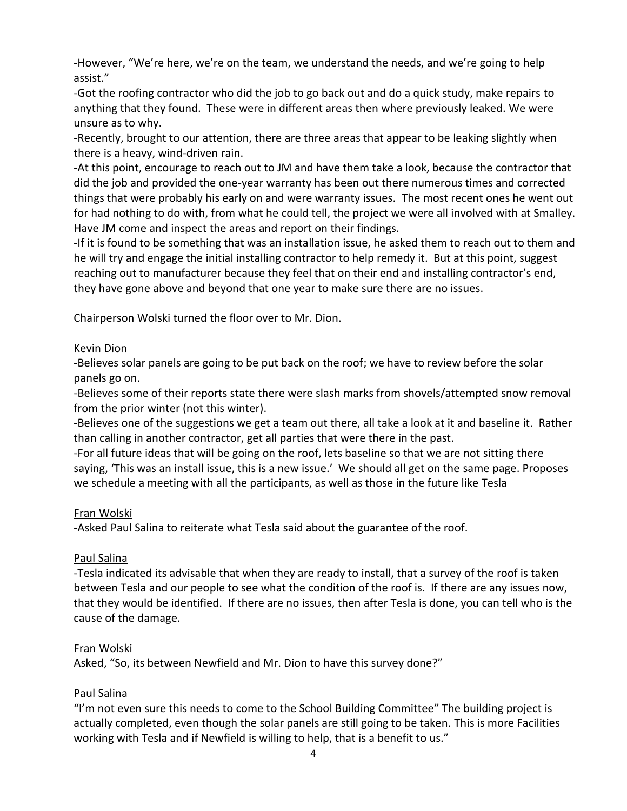-However, "We're here, we're on the team, we understand the needs, and we're going to help assist."

-Got the roofing contractor who did the job to go back out and do a quick study, make repairs to anything that they found. These were in different areas then where previously leaked. We were unsure as to why.

-Recently, brought to our attention, there are three areas that appear to be leaking slightly when there is a heavy, wind-driven rain.

-At this point, encourage to reach out to JM and have them take a look, because the contractor that did the job and provided the one-year warranty has been out there numerous times and corrected things that were probably his early on and were warranty issues. The most recent ones he went out for had nothing to do with, from what he could tell, the project we were all involved with at Smalley. Have JM come and inspect the areas and report on their findings.

-If it is found to be something that was an installation issue, he asked them to reach out to them and he will try and engage the initial installing contractor to help remedy it. But at this point, suggest reaching out to manufacturer because they feel that on their end and installing contractor's end, they have gone above and beyond that one year to make sure there are no issues.

Chairperson Wolski turned the floor over to Mr. Dion.

# Kevin Dion

-Believes solar panels are going to be put back on the roof; we have to review before the solar panels go on.

-Believes some of their reports state there were slash marks from shovels/attempted snow removal from the prior winter (not this winter).

-Believes one of the suggestions we get a team out there, all take a look at it and baseline it. Rather than calling in another contractor, get all parties that were there in the past.

-For all future ideas that will be going on the roof, lets baseline so that we are not sitting there saying, 'This was an install issue, this is a new issue.' We should all get on the same page. Proposes we schedule a meeting with all the participants, as well as those in the future like Tesla

# Fran Wolski

-Asked Paul Salina to reiterate what Tesla said about the guarantee of the roof.

# Paul Salina

-Tesla indicated its advisable that when they are ready to install, that a survey of the roof is taken between Tesla and our people to see what the condition of the roof is. If there are any issues now, that they would be identified. If there are no issues, then after Tesla is done, you can tell who is the cause of the damage.

## Fran Wolski

Asked, "So, its between Newfield and Mr. Dion to have this survey done?"

# Paul Salina

"I'm not even sure this needs to come to the School Building Committee" The building project is actually completed, even though the solar panels are still going to be taken. This is more Facilities working with Tesla and if Newfield is willing to help, that is a benefit to us."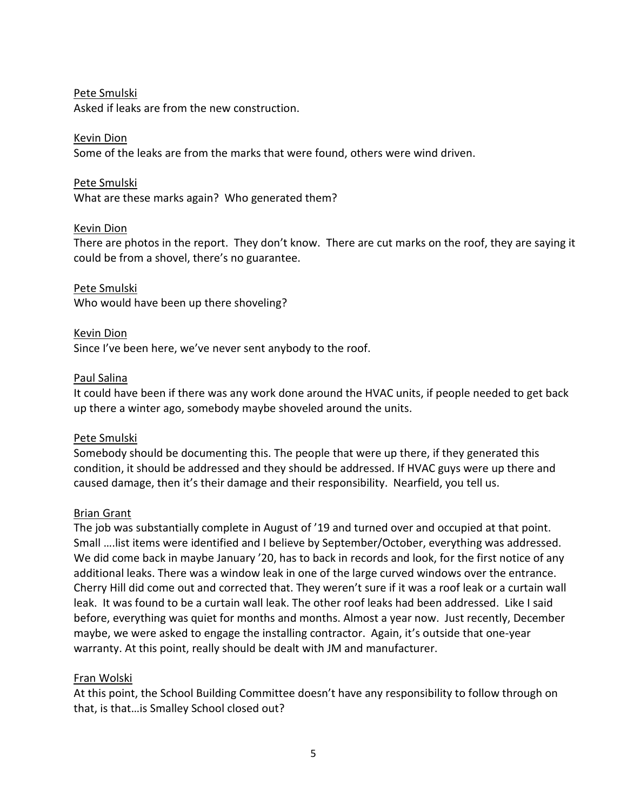## Pete Smulski

Asked if leaks are from the new construction.

## Kevin Dion

Some of the leaks are from the marks that were found, others were wind driven.

## Pete Smulski

What are these marks again? Who generated them?

## Kevin Dion

There are photos in the report. They don't know. There are cut marks on the roof, they are saying it could be from a shovel, there's no guarantee.

Pete Smulski Who would have been up there shoveling?

# Kevin Dion Since I've been here, we've never sent anybody to the roof.

## Paul Salina

It could have been if there was any work done around the HVAC units, if people needed to get back up there a winter ago, somebody maybe shoveled around the units.

## Pete Smulski

Somebody should be documenting this. The people that were up there, if they generated this condition, it should be addressed and they should be addressed. If HVAC guys were up there and caused damage, then it's their damage and their responsibility. Nearfield, you tell us.

## Brian Grant

The job was substantially complete in August of '19 and turned over and occupied at that point. Small ….list items were identified and I believe by September/October, everything was addressed. We did come back in maybe January '20, has to back in records and look, for the first notice of any additional leaks. There was a window leak in one of the large curved windows over the entrance. Cherry Hill did come out and corrected that. They weren't sure if it was a roof leak or a curtain wall leak. It was found to be a curtain wall leak. The other roof leaks had been addressed. Like I said before, everything was quiet for months and months. Almost a year now. Just recently, December maybe, we were asked to engage the installing contractor. Again, it's outside that one-year warranty. At this point, really should be dealt with JM and manufacturer.

## Fran Wolski

At this point, the School Building Committee doesn't have any responsibility to follow through on that, is that…is Smalley School closed out?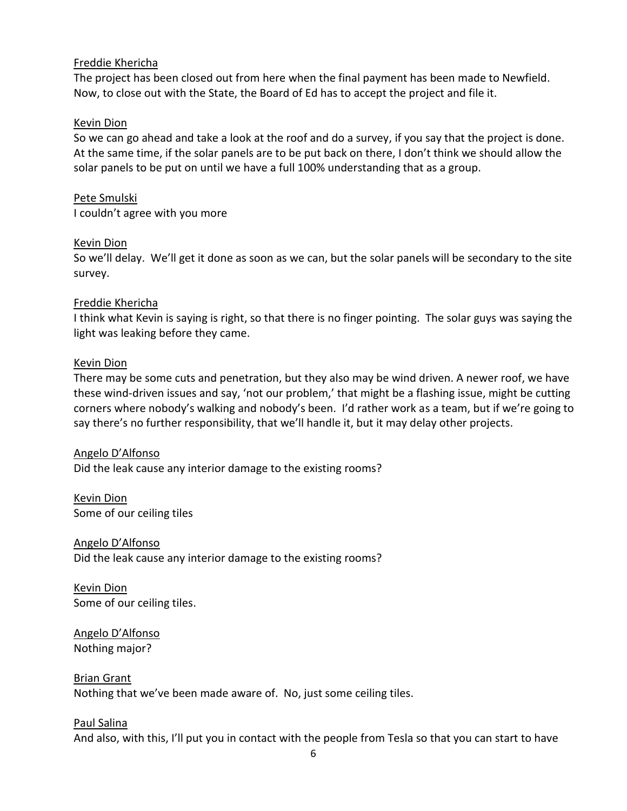## Freddie Khericha

The project has been closed out from here when the final payment has been made to Newfield. Now, to close out with the State, the Board of Ed has to accept the project and file it.

## Kevin Dion

So we can go ahead and take a look at the roof and do a survey, if you say that the project is done. At the same time, if the solar panels are to be put back on there, I don't think we should allow the solar panels to be put on until we have a full 100% understanding that as a group.

### Pete Smulski

I couldn't agree with you more

### Kevin Dion

So we'll delay. We'll get it done as soon as we can, but the solar panels will be secondary to the site survey.

### Freddie Khericha

I think what Kevin is saying is right, so that there is no finger pointing. The solar guys was saying the light was leaking before they came.

### Kevin Dion

There may be some cuts and penetration, but they also may be wind driven. A newer roof, we have these wind-driven issues and say, 'not our problem,' that might be a flashing issue, might be cutting corners where nobody's walking and nobody's been. I'd rather work as a team, but if we're going to say there's no further responsibility, that we'll handle it, but it may delay other projects.

## Angelo D'Alfonso

Did the leak cause any interior damage to the existing rooms?

Kevin Dion Some of our ceiling tiles

Angelo D'Alfonso Did the leak cause any interior damage to the existing rooms?

Kevin Dion Some of our ceiling tiles.

Angelo D'Alfonso Nothing major?

#### Brian Grant

Nothing that we've been made aware of. No, just some ceiling tiles.

#### Paul Salina

And also, with this, I'll put you in contact with the people from Tesla so that you can start to have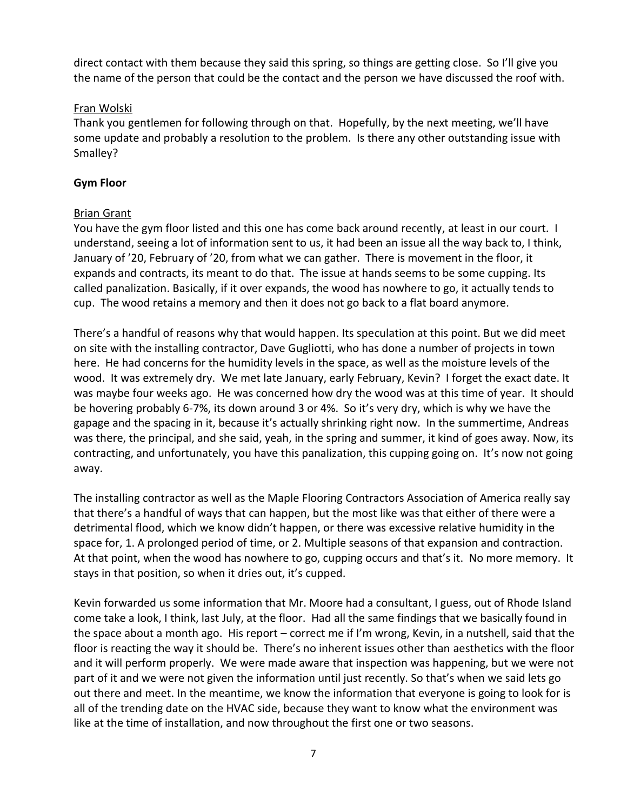direct contact with them because they said this spring, so things are getting close. So I'll give you the name of the person that could be the contact and the person we have discussed the roof with.

## Fran Wolski

Thank you gentlemen for following through on that. Hopefully, by the next meeting, we'll have some update and probably a resolution to the problem. Is there any other outstanding issue with Smalley?

## **Gym Floor**

# Brian Grant

You have the gym floor listed and this one has come back around recently, at least in our court. I understand, seeing a lot of information sent to us, it had been an issue all the way back to, I think, January of '20, February of '20, from what we can gather. There is movement in the floor, it expands and contracts, its meant to do that. The issue at hands seems to be some cupping. Its called panalization. Basically, if it over expands, the wood has nowhere to go, it actually tends to cup. The wood retains a memory and then it does not go back to a flat board anymore.

There's a handful of reasons why that would happen. Its speculation at this point. But we did meet on site with the installing contractor, Dave Gugliotti, who has done a number of projects in town here. He had concerns for the humidity levels in the space, as well as the moisture levels of the wood. It was extremely dry. We met late January, early February, Kevin? I forget the exact date. It was maybe four weeks ago. He was concerned how dry the wood was at this time of year. It should be hovering probably 6-7%, its down around 3 or 4%. So it's very dry, which is why we have the gapage and the spacing in it, because it's actually shrinking right now. In the summertime, Andreas was there, the principal, and she said, yeah, in the spring and summer, it kind of goes away. Now, its contracting, and unfortunately, you have this panalization, this cupping going on. It's now not going away.

The installing contractor as well as the Maple Flooring Contractors Association of America really say that there's a handful of ways that can happen, but the most like was that either of there were a detrimental flood, which we know didn't happen, or there was excessive relative humidity in the space for, 1. A prolonged period of time, or 2. Multiple seasons of that expansion and contraction. At that point, when the wood has nowhere to go, cupping occurs and that's it. No more memory. It stays in that position, so when it dries out, it's cupped.

Kevin forwarded us some information that Mr. Moore had a consultant, I guess, out of Rhode Island come take a look, I think, last July, at the floor. Had all the same findings that we basically found in the space about a month ago. His report – correct me if I'm wrong, Kevin, in a nutshell, said that the floor is reacting the way it should be. There's no inherent issues other than aesthetics with the floor and it will perform properly. We were made aware that inspection was happening, but we were not part of it and we were not given the information until just recently. So that's when we said lets go out there and meet. In the meantime, we know the information that everyone is going to look for is all of the trending date on the HVAC side, because they want to know what the environment was like at the time of installation, and now throughout the first one or two seasons.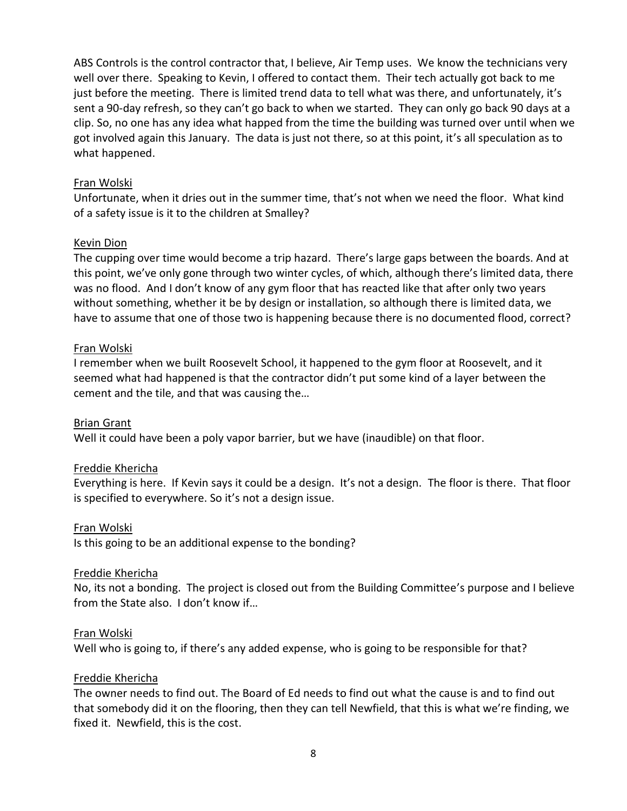ABS Controls is the control contractor that, I believe, Air Temp uses. We know the technicians very well over there. Speaking to Kevin, I offered to contact them. Their tech actually got back to me just before the meeting. There is limited trend data to tell what was there, and unfortunately, it's sent a 90-day refresh, so they can't go back to when we started. They can only go back 90 days at a clip. So, no one has any idea what happed from the time the building was turned over until when we got involved again this January. The data is just not there, so at this point, it's all speculation as to what happened.

## Fran Wolski

Unfortunate, when it dries out in the summer time, that's not when we need the floor. What kind of a safety issue is it to the children at Smalley?

#### Kevin Dion

The cupping over time would become a trip hazard. There's large gaps between the boards. And at this point, we've only gone through two winter cycles, of which, although there's limited data, there was no flood. And I don't know of any gym floor that has reacted like that after only two years without something, whether it be by design or installation, so although there is limited data, we have to assume that one of those two is happening because there is no documented flood, correct?

### Fran Wolski

I remember when we built Roosevelt School, it happened to the gym floor at Roosevelt, and it seemed what had happened is that the contractor didn't put some kind of a layer between the cement and the tile, and that was causing the…

## Brian Grant

Well it could have been a poly vapor barrier, but we have (inaudible) on that floor.

#### Freddie Khericha

Everything is here. If Kevin says it could be a design. It's not a design. The floor is there. That floor is specified to everywhere. So it's not a design issue.

#### Fran Wolski

Is this going to be an additional expense to the bonding?

#### Freddie Khericha

No, its not a bonding. The project is closed out from the Building Committee's purpose and I believe from the State also. I don't know if…

#### Fran Wolski

Well who is going to, if there's any added expense, who is going to be responsible for that?

#### Freddie Khericha

The owner needs to find out. The Board of Ed needs to find out what the cause is and to find out that somebody did it on the flooring, then they can tell Newfield, that this is what we're finding, we fixed it. Newfield, this is the cost.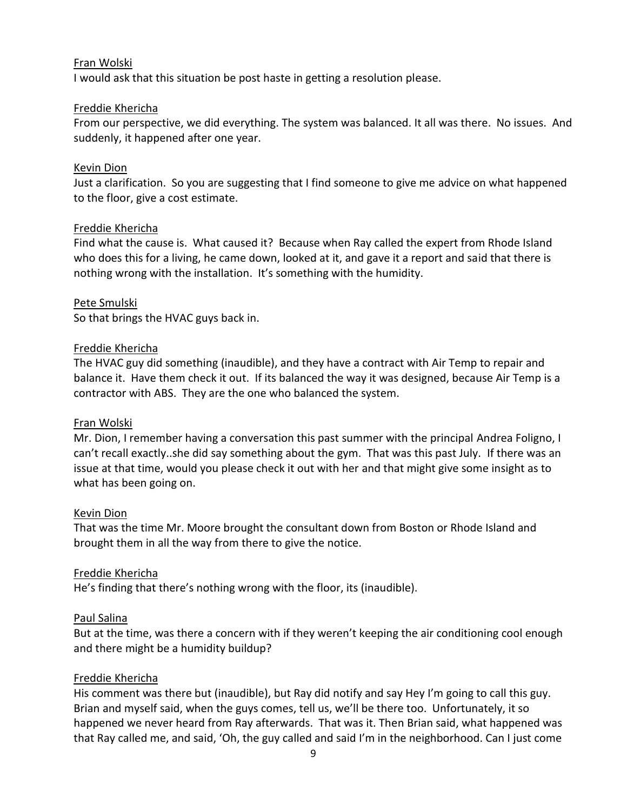### Fran Wolski

I would ask that this situation be post haste in getting a resolution please.

### Freddie Khericha

From our perspective, we did everything. The system was balanced. It all was there. No issues. And suddenly, it happened after one year.

### Kevin Dion

Just a clarification. So you are suggesting that I find someone to give me advice on what happened to the floor, give a cost estimate.

### Freddie Khericha

Find what the cause is. What caused it? Because when Ray called the expert from Rhode Island who does this for a living, he came down, looked at it, and gave it a report and said that there is nothing wrong with the installation. It's something with the humidity.

### Pete Smulski

So that brings the HVAC guys back in.

### Freddie Khericha

The HVAC guy did something (inaudible), and they have a contract with Air Temp to repair and balance it. Have them check it out. If its balanced the way it was designed, because Air Temp is a contractor with ABS. They are the one who balanced the system.

#### Fran Wolski

Mr. Dion, I remember having a conversation this past summer with the principal Andrea Foligno, I can't recall exactly..she did say something about the gym. That was this past July. If there was an issue at that time, would you please check it out with her and that might give some insight as to what has been going on.

#### Kevin Dion

That was the time Mr. Moore brought the consultant down from Boston or Rhode Island and brought them in all the way from there to give the notice.

#### Freddie Khericha

He's finding that there's nothing wrong with the floor, its (inaudible).

## Paul Salina

But at the time, was there a concern with if they weren't keeping the air conditioning cool enough and there might be a humidity buildup?

## Freddie Khericha

His comment was there but (inaudible), but Ray did notify and say Hey I'm going to call this guy. Brian and myself said, when the guys comes, tell us, we'll be there too. Unfortunately, it so happened we never heard from Ray afterwards. That was it. Then Brian said, what happened was that Ray called me, and said, 'Oh, the guy called and said I'm in the neighborhood. Can I just come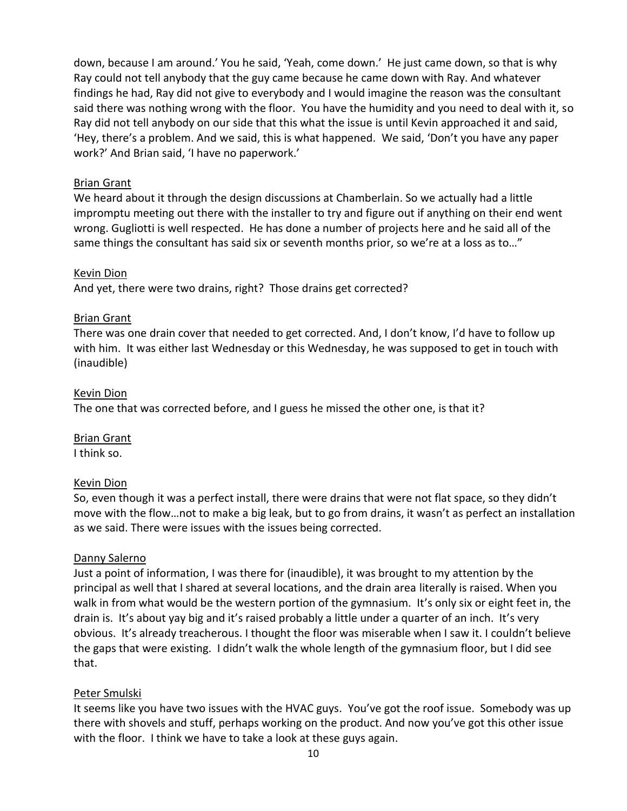down, because I am around.' You he said, 'Yeah, come down.' He just came down, so that is why Ray could not tell anybody that the guy came because he came down with Ray. And whatever findings he had, Ray did not give to everybody and I would imagine the reason was the consultant said there was nothing wrong with the floor. You have the humidity and you need to deal with it, so Ray did not tell anybody on our side that this what the issue is until Kevin approached it and said, 'Hey, there's a problem. And we said, this is what happened. We said, 'Don't you have any paper work?' And Brian said, 'I have no paperwork.'

### Brian Grant

We heard about it through the design discussions at Chamberlain. So we actually had a little impromptu meeting out there with the installer to try and figure out if anything on their end went wrong. Gugliotti is well respected. He has done a number of projects here and he said all of the same things the consultant has said six or seventh months prior, so we're at a loss as to…"

### Kevin Dion

And yet, there were two drains, right? Those drains get corrected?

### Brian Grant

There was one drain cover that needed to get corrected. And, I don't know, I'd have to follow up with him. It was either last Wednesday or this Wednesday, he was supposed to get in touch with (inaudible)

### Kevin Dion

The one that was corrected before, and I guess he missed the other one, is that it?

# Brian Grant

I think so.

#### Kevin Dion

So, even though it was a perfect install, there were drains that were not flat space, so they didn't move with the flow…not to make a big leak, but to go from drains, it wasn't as perfect an installation as we said. There were issues with the issues being corrected.

## Danny Salerno

Just a point of information, I was there for (inaudible), it was brought to my attention by the principal as well that I shared at several locations, and the drain area literally is raised. When you walk in from what would be the western portion of the gymnasium. It's only six or eight feet in, the drain is. It's about yay big and it's raised probably a little under a quarter of an inch. It's very obvious. It's already treacherous. I thought the floor was miserable when I saw it. I couldn't believe the gaps that were existing. I didn't walk the whole length of the gymnasium floor, but I did see that.

## Peter Smulski

It seems like you have two issues with the HVAC guys. You've got the roof issue. Somebody was up there with shovels and stuff, perhaps working on the product. And now you've got this other issue with the floor. I think we have to take a look at these guys again.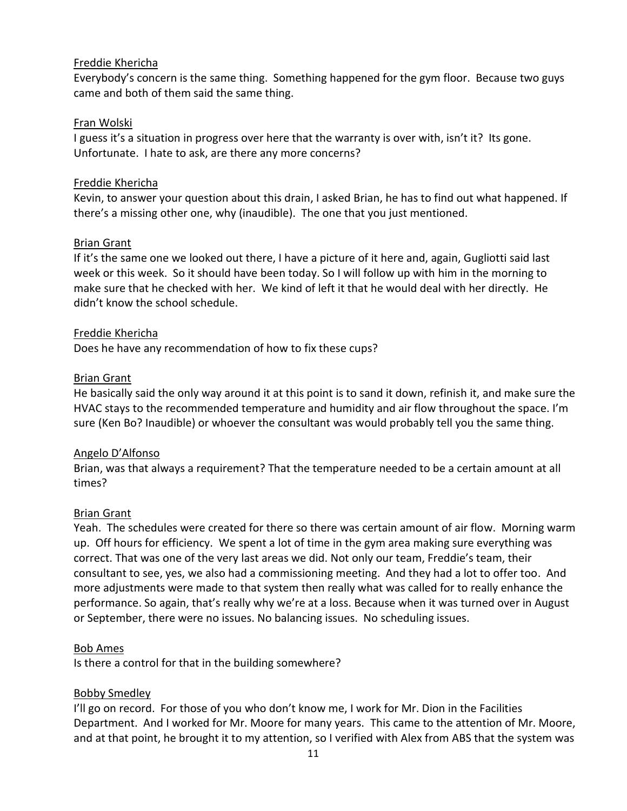## Freddie Khericha

Everybody's concern is the same thing. Something happened for the gym floor. Because two guys came and both of them said the same thing.

## Fran Wolski

I guess it's a situation in progress over here that the warranty is over with, isn't it? Its gone. Unfortunate. I hate to ask, are there any more concerns?

## Freddie Khericha

Kevin, to answer your question about this drain, I asked Brian, he has to find out what happened. If there's a missing other one, why (inaudible). The one that you just mentioned.

## Brian Grant

If it's the same one we looked out there, I have a picture of it here and, again, Gugliotti said last week or this week. So it should have been today. So I will follow up with him in the morning to make sure that he checked with her. We kind of left it that he would deal with her directly. He didn't know the school schedule.

## Freddie Khericha

Does he have any recommendation of how to fix these cups?

## Brian Grant

He basically said the only way around it at this point is to sand it down, refinish it, and make sure the HVAC stays to the recommended temperature and humidity and air flow throughout the space. I'm sure (Ken Bo? Inaudible) or whoever the consultant was would probably tell you the same thing.

# Angelo D'Alfonso

Brian, was that always a requirement? That the temperature needed to be a certain amount at all times?

## Brian Grant

Yeah. The schedules were created for there so there was certain amount of air flow. Morning warm up. Off hours for efficiency. We spent a lot of time in the gym area making sure everything was correct. That was one of the very last areas we did. Not only our team, Freddie's team, their consultant to see, yes, we also had a commissioning meeting. And they had a lot to offer too. And more adjustments were made to that system then really what was called for to really enhance the performance. So again, that's really why we're at a loss. Because when it was turned over in August or September, there were no issues. No balancing issues. No scheduling issues.

## Bob Ames

Is there a control for that in the building somewhere?

# Bobby Smedley

I'll go on record. For those of you who don't know me, I work for Mr. Dion in the Facilities Department. And I worked for Mr. Moore for many years. This came to the attention of Mr. Moore, and at that point, he brought it to my attention, so I verified with Alex from ABS that the system was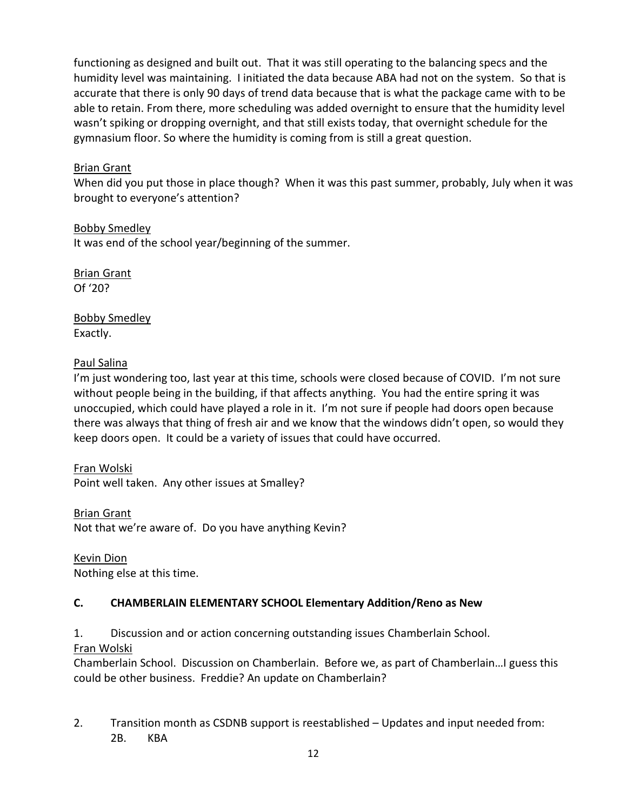functioning as designed and built out. That it was still operating to the balancing specs and the humidity level was maintaining. I initiated the data because ABA had not on the system. So that is accurate that there is only 90 days of trend data because that is what the package came with to be able to retain. From there, more scheduling was added overnight to ensure that the humidity level wasn't spiking or dropping overnight, and that still exists today, that overnight schedule for the gymnasium floor. So where the humidity is coming from is still a great question.

# Brian Grant

When did you put those in place though? When it was this past summer, probably, July when it was brought to everyone's attention?

Bobby Smedley

It was end of the school year/beginning of the summer.

Brian Grant Of '20?

Bobby Smedley Exactly.

# Paul Salina

I'm just wondering too, last year at this time, schools were closed because of COVID. I'm not sure without people being in the building, if that affects anything. You had the entire spring it was unoccupied, which could have played a role in it. I'm not sure if people had doors open because there was always that thing of fresh air and we know that the windows didn't open, so would they keep doors open. It could be a variety of issues that could have occurred.

# Fran Wolski

Point well taken. Any other issues at Smalley?

Brian Grant

Not that we're aware of. Do you have anything Kevin?

Kevin Dion

Nothing else at this time.

# **C. CHAMBERLAIN ELEMENTARY SCHOOL Elementary Addition/Reno as New**

1. Discussion and or action concerning outstanding issues Chamberlain School.

# Fran Wolski

Chamberlain School. Discussion on Chamberlain. Before we, as part of Chamberlain…I guess this could be other business. Freddie? An update on Chamberlain?

2. Transition month as CSDNB support is reestablished – Updates and input needed from: 2B. KBA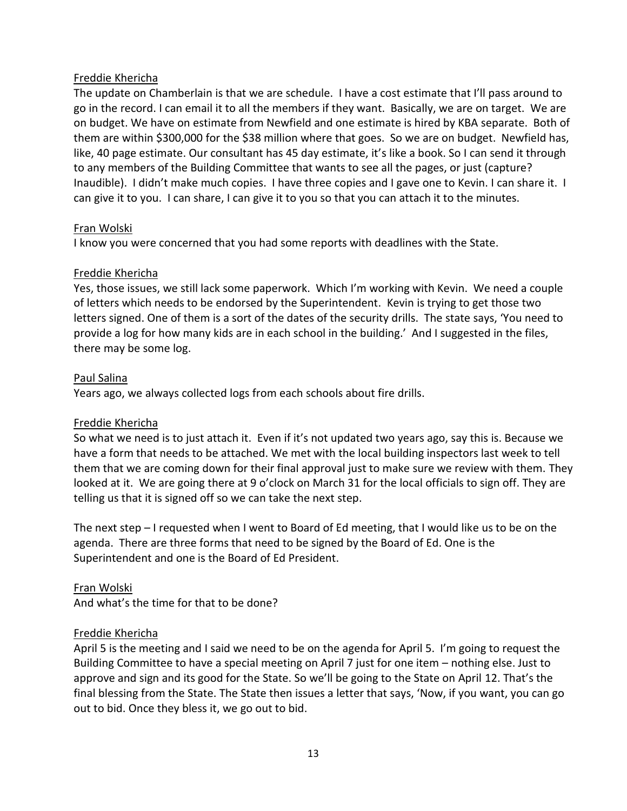## Freddie Khericha

The update on Chamberlain is that we are schedule. I have a cost estimate that I'll pass around to go in the record. I can email it to all the members if they want. Basically, we are on target. We are on budget. We have on estimate from Newfield and one estimate is hired by KBA separate. Both of them are within \$300,000 for the \$38 million where that goes. So we are on budget. Newfield has, like, 40 page estimate. Our consultant has 45 day estimate, it's like a book. So I can send it through to any members of the Building Committee that wants to see all the pages, or just (capture? Inaudible). I didn't make much copies. I have three copies and I gave one to Kevin. I can share it. I can give it to you. I can share, I can give it to you so that you can attach it to the minutes.

## Fran Wolski

I know you were concerned that you had some reports with deadlines with the State.

## Freddie Khericha

Yes, those issues, we still lack some paperwork. Which I'm working with Kevin. We need a couple of letters which needs to be endorsed by the Superintendent. Kevin is trying to get those two letters signed. One of them is a sort of the dates of the security drills. The state says, 'You need to provide a log for how many kids are in each school in the building.' And I suggested in the files, there may be some log.

## Paul Salina

Years ago, we always collected logs from each schools about fire drills.

## Freddie Khericha

So what we need is to just attach it. Even if it's not updated two years ago, say this is. Because we have a form that needs to be attached. We met with the local building inspectors last week to tell them that we are coming down for their final approval just to make sure we review with them. They looked at it. We are going there at 9 o'clock on March 31 for the local officials to sign off. They are telling us that it is signed off so we can take the next step.

The next step – I requested when I went to Board of Ed meeting, that I would like us to be on the agenda. There are three forms that need to be signed by the Board of Ed. One is the Superintendent and one is the Board of Ed President.

Fran Wolski And what's the time for that to be done?

## Freddie Khericha

April 5 is the meeting and I said we need to be on the agenda for April 5. I'm going to request the Building Committee to have a special meeting on April 7 just for one item – nothing else. Just to approve and sign and its good for the State. So we'll be going to the State on April 12. That's the final blessing from the State. The State then issues a letter that says, 'Now, if you want, you can go out to bid. Once they bless it, we go out to bid.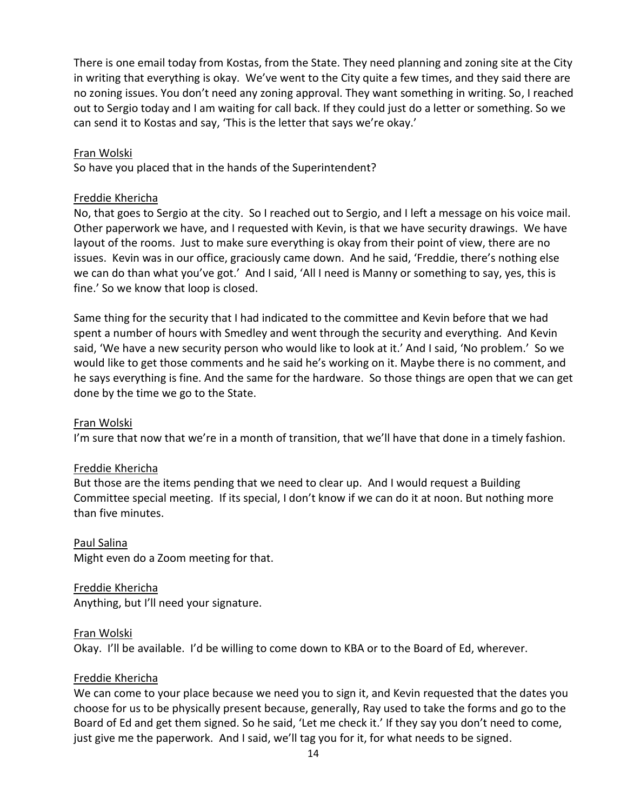There is one email today from Kostas, from the State. They need planning and zoning site at the City in writing that everything is okay. We've went to the City quite a few times, and they said there are no zoning issues. You don't need any zoning approval. They want something in writing. So, I reached out to Sergio today and I am waiting for call back. If they could just do a letter or something. So we can send it to Kostas and say, 'This is the letter that says we're okay.'

## Fran Wolski

So have you placed that in the hands of the Superintendent?

### Freddie Khericha

No, that goes to Sergio at the city. So I reached out to Sergio, and I left a message on his voice mail. Other paperwork we have, and I requested with Kevin, is that we have security drawings. We have layout of the rooms. Just to make sure everything is okay from their point of view, there are no issues. Kevin was in our office, graciously came down. And he said, 'Freddie, there's nothing else we can do than what you've got.' And I said, 'All I need is Manny or something to say, yes, this is fine.' So we know that loop is closed.

Same thing for the security that I had indicated to the committee and Kevin before that we had spent a number of hours with Smedley and went through the security and everything. And Kevin said, 'We have a new security person who would like to look at it.' And I said, 'No problem.' So we would like to get those comments and he said he's working on it. Maybe there is no comment, and he says everything is fine. And the same for the hardware. So those things are open that we can get done by the time we go to the State.

#### Fran Wolski

I'm sure that now that we're in a month of transition, that we'll have that done in a timely fashion.

#### Freddie Khericha

But those are the items pending that we need to clear up. And I would request a Building Committee special meeting. If its special, I don't know if we can do it at noon. But nothing more than five minutes.

#### Paul Salina

Might even do a Zoom meeting for that.

# Freddie Khericha

Anything, but I'll need your signature.

#### Fran Wolski

Okay. I'll be available. I'd be willing to come down to KBA or to the Board of Ed, wherever.

## Freddie Khericha

We can come to your place because we need you to sign it, and Kevin requested that the dates you choose for us to be physically present because, generally, Ray used to take the forms and go to the Board of Ed and get them signed. So he said, 'Let me check it.' If they say you don't need to come, just give me the paperwork. And I said, we'll tag you for it, for what needs to be signed.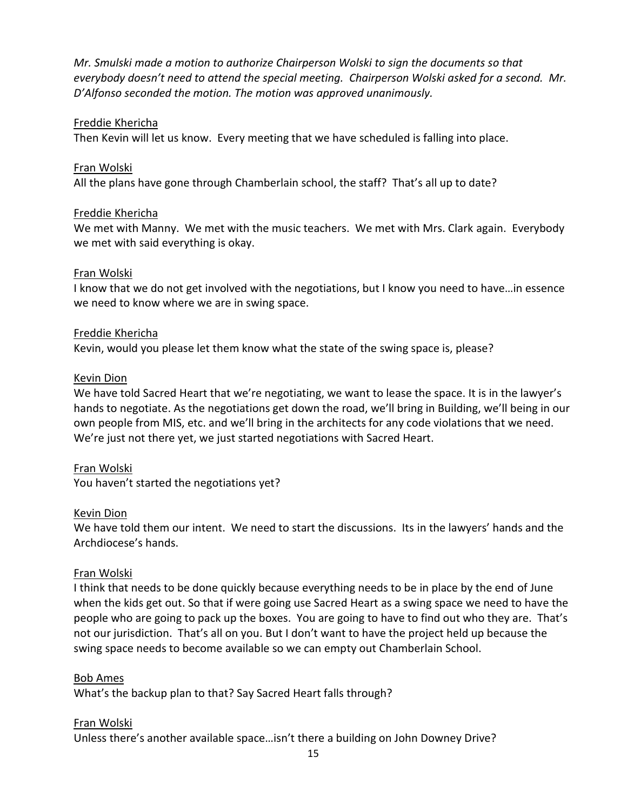*Mr. Smulski made a motion to authorize Chairperson Wolski to sign the documents so that everybody doesn't need to attend the special meeting. Chairperson Wolski asked for a second. Mr. D'Alfonso seconded the motion. The motion was approved unanimously.* 

## Freddie Khericha

Then Kevin will let us know. Every meeting that we have scheduled is falling into place.

## Fran Wolski

All the plans have gone through Chamberlain school, the staff? That's all up to date?

## Freddie Khericha

We met with Manny. We met with the music teachers. We met with Mrs. Clark again. Everybody we met with said everything is okay.

## Fran Wolski

I know that we do not get involved with the negotiations, but I know you need to have…in essence we need to know where we are in swing space.

### Freddie Khericha

Kevin, would you please let them know what the state of the swing space is, please?

### Kevin Dion

We have told Sacred Heart that we're negotiating, we want to lease the space. It is in the lawyer's hands to negotiate. As the negotiations get down the road, we'll bring in Building, we'll being in our own people from MIS, etc. and we'll bring in the architects for any code violations that we need. We're just not there yet, we just started negotiations with Sacred Heart.

## Fran Wolski

You haven't started the negotiations yet?

#### Kevin Dion

We have told them our intent. We need to start the discussions. Its in the lawyers' hands and the Archdiocese's hands.

## Fran Wolski

I think that needs to be done quickly because everything needs to be in place by the end of June when the kids get out. So that if were going use Sacred Heart as a swing space we need to have the people who are going to pack up the boxes. You are going to have to find out who they are. That's not our jurisdiction. That's all on you. But I don't want to have the project held up because the swing space needs to become available so we can empty out Chamberlain School.

## Bob Ames

What's the backup plan to that? Say Sacred Heart falls through?

#### Fran Wolski

Unless there's another available space…isn't there a building on John Downey Drive?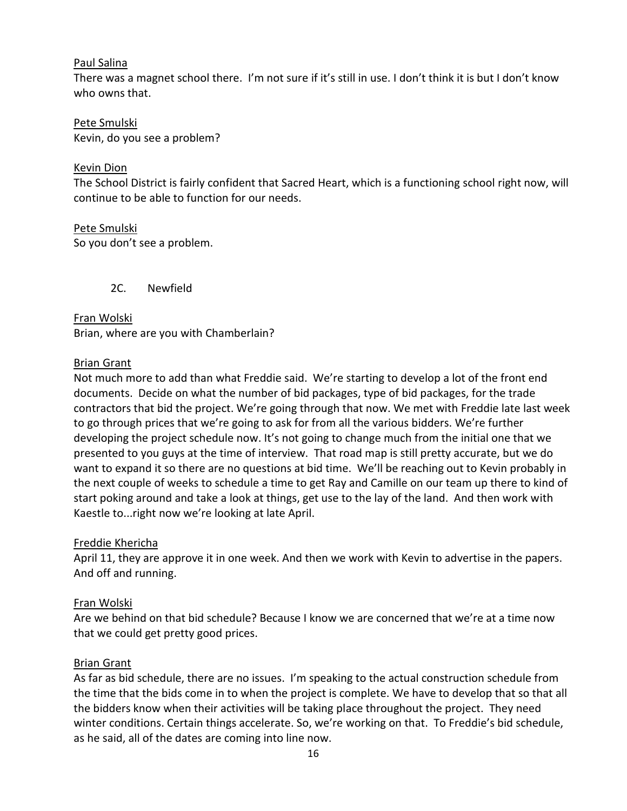## Paul Salina

There was a magnet school there. I'm not sure if it's still in use. I don't think it is but I don't know who owns that.

Pete Smulski Kevin, do you see a problem?

## Kevin Dion

The School District is fairly confident that Sacred Heart, which is a functioning school right now, will continue to be able to function for our needs.

Pete Smulski So you don't see a problem.

2C. Newfield

Fran Wolski Brian, where are you with Chamberlain?

## Brian Grant

Not much more to add than what Freddie said. We're starting to develop a lot of the front end documents. Decide on what the number of bid packages, type of bid packages, for the trade contractors that bid the project. We're going through that now. We met with Freddie late last week to go through prices that we're going to ask for from all the various bidders. We're further developing the project schedule now. It's not going to change much from the initial one that we presented to you guys at the time of interview. That road map is still pretty accurate, but we do want to expand it so there are no questions at bid time. We'll be reaching out to Kevin probably in the next couple of weeks to schedule a time to get Ray and Camille on our team up there to kind of start poking around and take a look at things, get use to the lay of the land. And then work with Kaestle to...right now we're looking at late April.

## Freddie Khericha

April 11, they are approve it in one week. And then we work with Kevin to advertise in the papers. And off and running.

## Fran Wolski

Are we behind on that bid schedule? Because I know we are concerned that we're at a time now that we could get pretty good prices.

## Brian Grant

As far as bid schedule, there are no issues. I'm speaking to the actual construction schedule from the time that the bids come in to when the project is complete. We have to develop that so that all the bidders know when their activities will be taking place throughout the project. They need winter conditions. Certain things accelerate. So, we're working on that. To Freddie's bid schedule, as he said, all of the dates are coming into line now.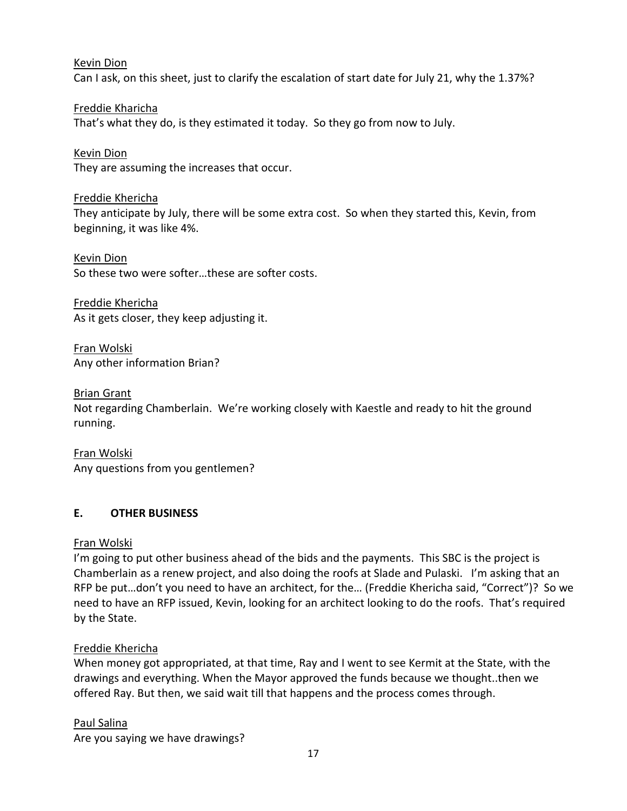Kevin Dion

Can I ask, on this sheet, just to clarify the escalation of start date for July 21, why the 1.37%?

Freddie Kharicha That's what they do, is they estimated it today. So they go from now to July.

Kevin Dion They are assuming the increases that occur.

Freddie Khericha They anticipate by July, there will be some extra cost. So when they started this, Kevin, from beginning, it was like 4%.

Kevin Dion So these two were softer…these are softer costs.

Freddie Khericha As it gets closer, they keep adjusting it.

Fran Wolski Any other information Brian?

Brian Grant

Not regarding Chamberlain. We're working closely with Kaestle and ready to hit the ground running.

Fran Wolski Any questions from you gentlemen?

# **E. OTHER BUSINESS**

# Fran Wolski

I'm going to put other business ahead of the bids and the payments. This SBC is the project is Chamberlain as a renew project, and also doing the roofs at Slade and Pulaski. I'm asking that an RFP be put…don't you need to have an architect, for the… (Freddie Khericha said, "Correct")? So we need to have an RFP issued, Kevin, looking for an architect looking to do the roofs. That's required by the State.

# Freddie Khericha

When money got appropriated, at that time, Ray and I went to see Kermit at the State, with the drawings and everything. When the Mayor approved the funds because we thought..then we offered Ray. But then, we said wait till that happens and the process comes through.

# Paul Salina

Are you saying we have drawings?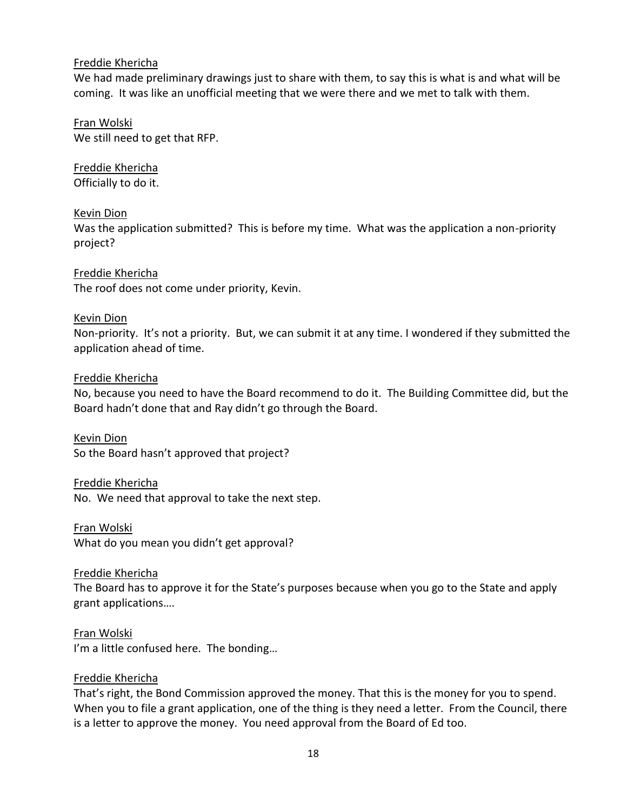## Freddie Khericha

We had made preliminary drawings just to share with them, to say this is what is and what will be coming. It was like an unofficial meeting that we were there and we met to talk with them.

## Fran Wolski We still need to get that RFP.

Freddie Khericha Officially to do it.

## Kevin Dion

Was the application submitted? This is before my time. What was the application a non-priority project?

Freddie Khericha The roof does not come under priority, Kevin.

## Kevin Dion

Non-priority. It's not a priority. But, we can submit it at any time. I wondered if they submitted the application ahead of time.

## Freddie Khericha

No, because you need to have the Board recommend to do it. The Building Committee did, but the Board hadn't done that and Ray didn't go through the Board.

Kevin Dion So the Board hasn't approved that project?

## Freddie Khericha

No. We need that approval to take the next step.

Fran Wolski What do you mean you didn't get approval?

## Freddie Khericha

The Board has to approve it for the State's purposes because when you go to the State and apply grant applications….

Fran Wolski I'm a little confused here. The bonding…

## Freddie Khericha

That's right, the Bond Commission approved the money. That this is the money for you to spend. When you to file a grant application, one of the thing is they need a letter. From the Council, there is a letter to approve the money. You need approval from the Board of Ed too.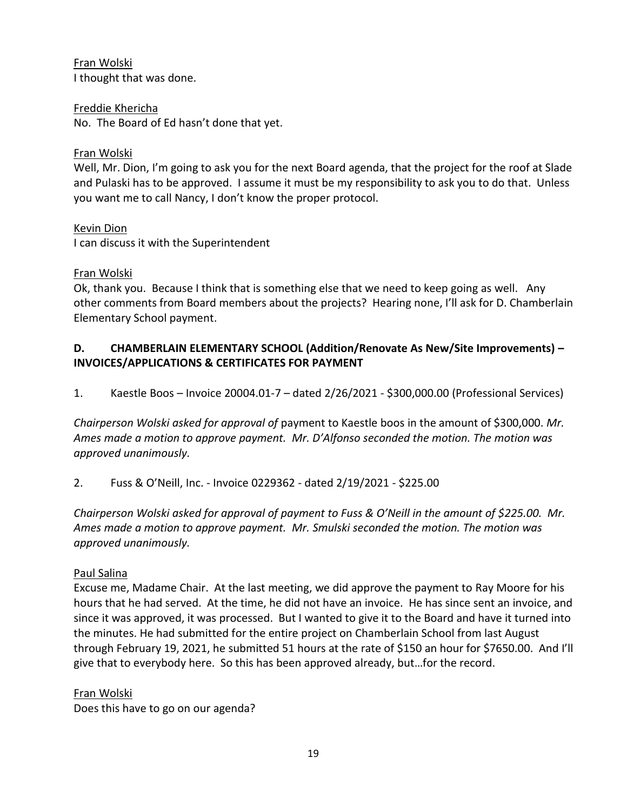Fran Wolski I thought that was done.

## Freddie Khericha

No. The Board of Ed hasn't done that yet.

## Fran Wolski

Well, Mr. Dion, I'm going to ask you for the next Board agenda, that the project for the roof at Slade and Pulaski has to be approved. I assume it must be my responsibility to ask you to do that. Unless you want me to call Nancy, I don't know the proper protocol.

## Kevin Dion

I can discuss it with the Superintendent

## Fran Wolski

Ok, thank you. Because I think that is something else that we need to keep going as well. Any other comments from Board members about the projects? Hearing none, I'll ask for D. Chamberlain Elementary School payment.

# **D. CHAMBERLAIN ELEMENTARY SCHOOL (Addition/Renovate As New/Site Improvements) – INVOICES/APPLICATIONS & CERTIFICATES FOR PAYMENT**

1. Kaestle Boos – Invoice 20004.01-7 – dated 2/26/2021 - \$300,000.00 (Professional Services)

*Chairperson Wolski asked for approval of* payment to Kaestle boos in the amount of \$300,000. *Mr. Ames made a motion to approve payment. Mr. D'Alfonso seconded the motion. The motion was approved unanimously.*

2. Fuss & O'Neill, Inc. - Invoice 0229362 - dated 2/19/2021 - \$225.00

*Chairperson Wolski asked for approval of payment to Fuss & O'Neill in the amount of \$225.00. Mr. Ames made a motion to approve payment. Mr. Smulski seconded the motion. The motion was approved unanimously.*

# Paul Salina

Excuse me, Madame Chair. At the last meeting, we did approve the payment to Ray Moore for his hours that he had served. At the time, he did not have an invoice. He has since sent an invoice, and since it was approved, it was processed. But I wanted to give it to the Board and have it turned into the minutes. He had submitted for the entire project on Chamberlain School from last August through February 19, 2021, he submitted 51 hours at the rate of \$150 an hour for \$7650.00. And I'll give that to everybody here. So this has been approved already, but…for the record.

## Fran Wolski

Does this have to go on our agenda?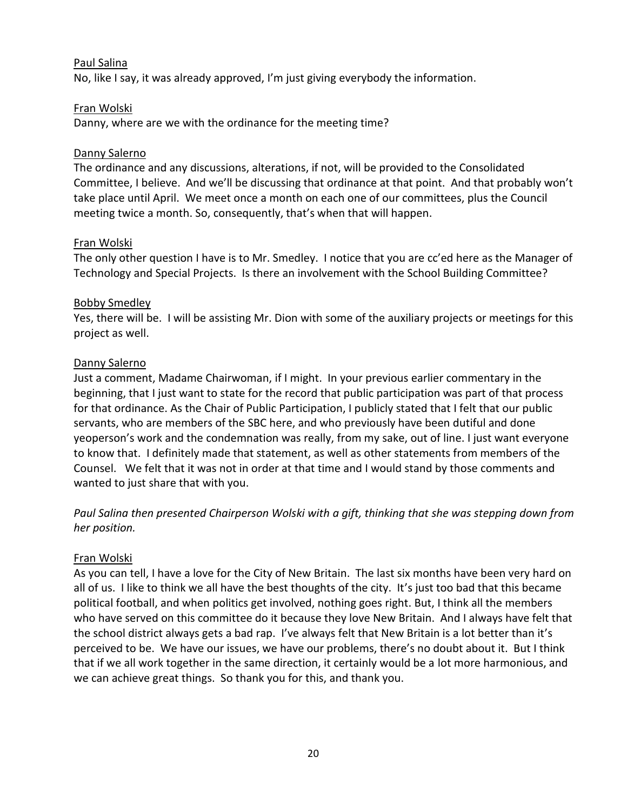## Paul Salina

No, like I say, it was already approved, I'm just giving everybody the information.

## Fran Wolski

Danny, where are we with the ordinance for the meeting time?

## Danny Salerno

The ordinance and any discussions, alterations, if not, will be provided to the Consolidated Committee, I believe. And we'll be discussing that ordinance at that point. And that probably won't take place until April. We meet once a month on each one of our committees, plus the Council meeting twice a month. So, consequently, that's when that will happen.

### Fran Wolski

The only other question I have is to Mr. Smedley. I notice that you are cc'ed here as the Manager of Technology and Special Projects. Is there an involvement with the School Building Committee?

## Bobby Smedley

Yes, there will be. I will be assisting Mr. Dion with some of the auxiliary projects or meetings for this project as well.

### Danny Salerno

Just a comment, Madame Chairwoman, if I might. In your previous earlier commentary in the beginning, that I just want to state for the record that public participation was part of that process for that ordinance. As the Chair of Public Participation, I publicly stated that I felt that our public servants, who are members of the SBC here, and who previously have been dutiful and done yeoperson's work and the condemnation was really, from my sake, out of line. I just want everyone to know that. I definitely made that statement, as well as other statements from members of the Counsel. We felt that it was not in order at that time and I would stand by those comments and wanted to just share that with you.

*Paul Salina then presented Chairperson Wolski with a gift, thinking that she was stepping down from her position.* 

## Fran Wolski

As you can tell, I have a love for the City of New Britain. The last six months have been very hard on all of us. I like to think we all have the best thoughts of the city. It's just too bad that this became political football, and when politics get involved, nothing goes right. But, I think all the members who have served on this committee do it because they love New Britain. And I always have felt that the school district always gets a bad rap. I've always felt that New Britain is a lot better than it's perceived to be. We have our issues, we have our problems, there's no doubt about it. But I think that if we all work together in the same direction, it certainly would be a lot more harmonious, and we can achieve great things. So thank you for this, and thank you.